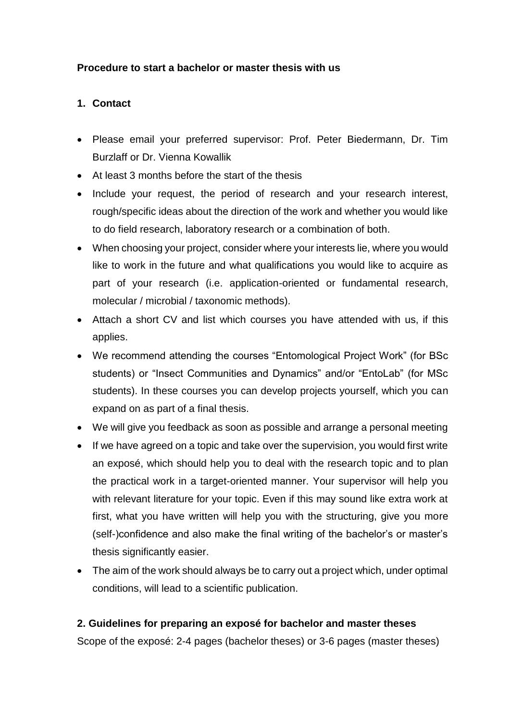## **Procedure to start a bachelor or master thesis with us**

## **1. Contact**

- Please email your preferred supervisor: Prof. Peter Biedermann, Dr. Tim Burzlaff or Dr. Vienna Kowallik
- At least 3 months before the start of the thesis
- Include your request, the period of research and your research interest, rough/specific ideas about the direction of the work and whether you would like to do field research, laboratory research or a combination of both.
- When choosing your project, consider where your interests lie, where you would like to work in the future and what qualifications you would like to acquire as part of your research (i.e. application-oriented or fundamental research, molecular / microbial / taxonomic methods).
- Attach a short CV and list which courses you have attended with us, if this applies.
- We recommend attending the courses "Entomological Project Work" (for BSc students) or "Insect Communities and Dynamics" and/or "EntoLab" (for MSc students). In these courses you can develop projects yourself, which you can expand on as part of a final thesis.
- We will give you feedback as soon as possible and arrange a personal meeting
- If we have agreed on a topic and take over the supervision, you would first write an exposé, which should help you to deal with the research topic and to plan the practical work in a target-oriented manner. Your supervisor will help you with relevant literature for your topic. Even if this may sound like extra work at first, what you have written will help you with the structuring, give you more (self-)confidence and also make the final writing of the bachelor's or master's thesis significantly easier.
- The aim of the work should always be to carry out a project which, under optimal conditions, will lead to a scientific publication.

## **2. Guidelines for preparing an exposé for bachelor and master theses**

Scope of the exposé: 2-4 pages (bachelor theses) or 3-6 pages (master theses)